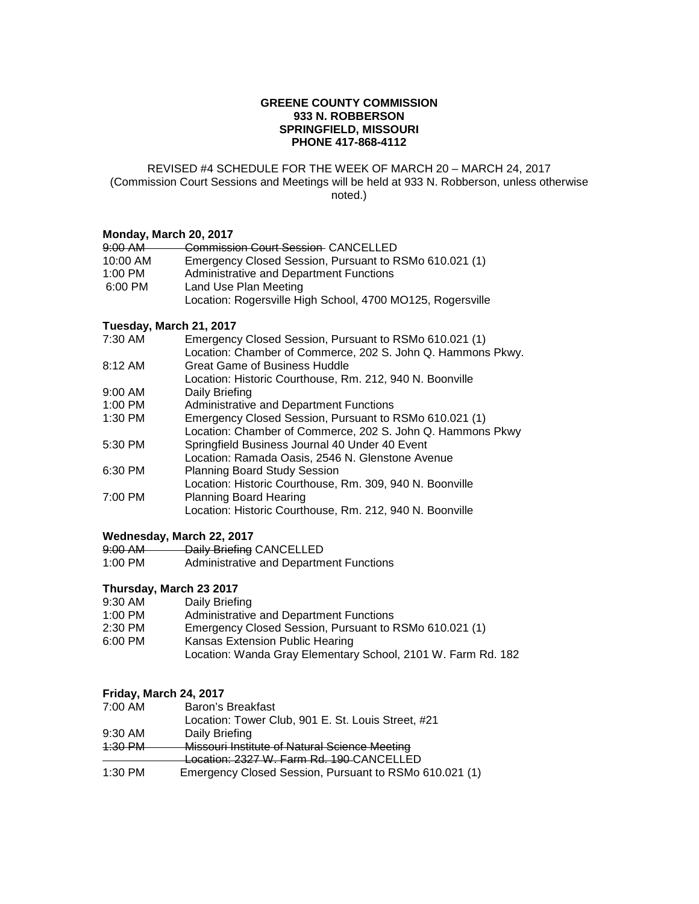## **GREENE COUNTY COMMISSION 933 N. ROBBERSON SPRINGFIELD, MISSOURI PHONE 417-868-4112**

#### REVISED #4 SCHEDULE FOR THE WEEK OF MARCH 20 – MARCH 24, 2017 (Commission Court Sessions and Meetings will be held at 933 N. Robberson, unless otherwise noted.)

## **Monday, March 20, 2017**

| 9:00 AM   | <b>Commission Court Session CANCELLED</b>                  |
|-----------|------------------------------------------------------------|
| 10:00 AM  | Emergency Closed Session, Pursuant to RSMo 610.021 (1)     |
| $1:00$ PM | Administrative and Department Functions                    |
| 6:00 PM   | Land Use Plan Meeting                                      |
|           | Location: Rogersville High School, 4700 MO125, Rogersville |

## **Tuesday, March 21, 2017**

| 7:30 AM   | Emergency Closed Session, Pursuant to RSMo 610.021 (1)      |
|-----------|-------------------------------------------------------------|
|           | Location: Chamber of Commerce, 202 S. John Q. Hammons Pkwy. |
| 8:12 AM   | Great Game of Business Huddle                               |
|           | Location: Historic Courthouse, Rm. 212, 940 N. Boonville    |
| $9:00$ AM | Daily Briefing                                              |
| 1:00 PM   | <b>Administrative and Department Functions</b>              |
| 1:30 PM   | Emergency Closed Session, Pursuant to RSMo 610.021 (1)      |
|           | Location: Chamber of Commerce, 202 S. John Q. Hammons Pkwy  |
| 5:30 PM   | Springfield Business Journal 40 Under 40 Event              |
|           | Location: Ramada Oasis, 2546 N. Glenstone Avenue            |
| 6:30 PM   | <b>Planning Board Study Session</b>                         |
|           | Location: Historic Courthouse, Rm. 309, 940 N. Boonville    |
| 7:00 PM   | <b>Planning Board Hearing</b>                               |
|           | Location: Historic Courthouse, Rm. 212, 940 N. Boonville    |

## **Wednesday, March 22, 2017**

| $9:00$ AM | Daily Briefing CANCELLED                       |
|-----------|------------------------------------------------|
| 1:00 PM   | <b>Administrative and Department Functions</b> |

# **Thursday, March 23 2017**

- 9:30 AM Daily Briefing<br>1:00 PM Administrative
- 1:00 PM Administrative and Department Functions<br>2:30 PM Emergency Closed Session, Pursuant to R
- 2:30 PM Emergency Closed Session, Pursuant to RSMo 610.021 (1)<br>6:00 PM Kansas Extension Public Hearing
- Kansas Extension Public Hearing
	- Location: Wanda Gray Elementary School, 2101 W. Farm Rd. 182

## **Friday, March 24, 2017**

| 7:00 AM   | Baron's Breakfast                                      |
|-----------|--------------------------------------------------------|
|           | Location: Tower Club, 901 E. St. Louis Street, #21     |
| $9:30$ AM | Daily Briefing                                         |
| $4:30$ PM | Missouri Institute of Natural Science Meeting          |
|           | Location: 2327 W. Farm Rd. 190-CANCELLED               |
| 1:30 PM   | Emergency Closed Session, Pursuant to RSMo 610.021 (1) |